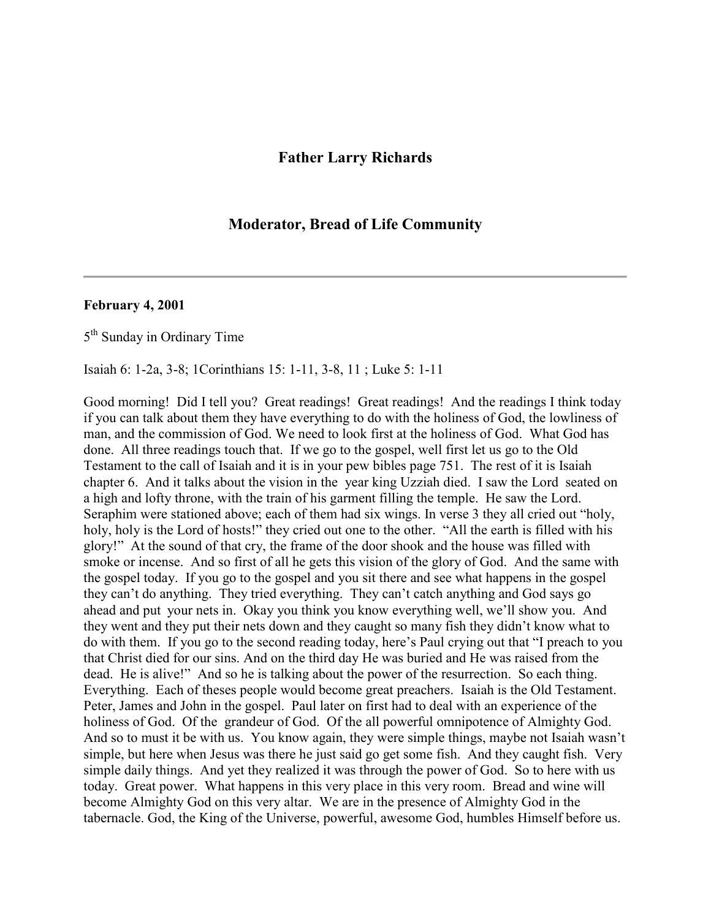## **Father Larry Richards**

## **Moderator, Bread of Life Community**

## **February 4, 2001**

5<sup>th</sup> Sunday in Ordinary Time

Isaiah 6: 1-2a, 3-8; 1Corinthians 15: 1-11, 3-8, 11 ; Luke 5: 1-11

Good morning! Did I tell you? Great readings! Great readings! And the readings I think today if you can talk about them they have everything to do with the holiness of God, the lowliness of man, and the commission of God. We need to look first at the holiness of God. What God has done. All three readings touch that. If we go to the gospel, well first let us go to the Old Testament to the call of Isaiah and it is in your pew bibles page 751. The rest of it is Isaiah chapter 6. And it talks about the vision in the year king Uzziah died. I saw the Lord seated on a high and lofty throne, with the train of his garment filling the temple. He saw the Lord. Seraphim were stationed above; each of them had six wings. In verse 3 they all cried out "holy, holy, holy is the Lord of hosts!" they cried out one to the other. "All the earth is filled with his glory!" At the sound of that cry, the frame of the door shook and the house was filled with smoke or incense. And so first of all he gets this vision of the glory of God. And the same with the gospel today. If you go to the gospel and you sit there and see what happens in the gospel they can't do anything. They tried everything. They can't catch anything and God says go ahead and put your nets in. Okay you think you know everything well, we'll show you. And they went and they put their nets down and they caught so many fish they didn't know what to do with them. If you go to the second reading today, here's Paul crying out that "I preach to you that Christ died for our sins. And on the third day He was buried and He was raised from the dead. He is alive!" And so he is talking about the power of the resurrection. So each thing. Everything. Each of theses people would become great preachers. Isaiah is the Old Testament. Peter, James and John in the gospel. Paul later on first had to deal with an experience of the holiness of God. Of the grandeur of God. Of the all powerful omnipotence of Almighty God. And so to must it be with us. You know again, they were simple things, maybe not Isaiah wasn't simple, but here when Jesus was there he just said go get some fish. And they caught fish. Very simple daily things. And yet they realized it was through the power of God. So to here with us today. Great power. What happens in this very place in this very room. Bread and wine will become Almighty God on this very altar. We are in the presence of Almighty God in the tabernacle. God, the King of the Universe, powerful, awesome God, humbles Himself before us.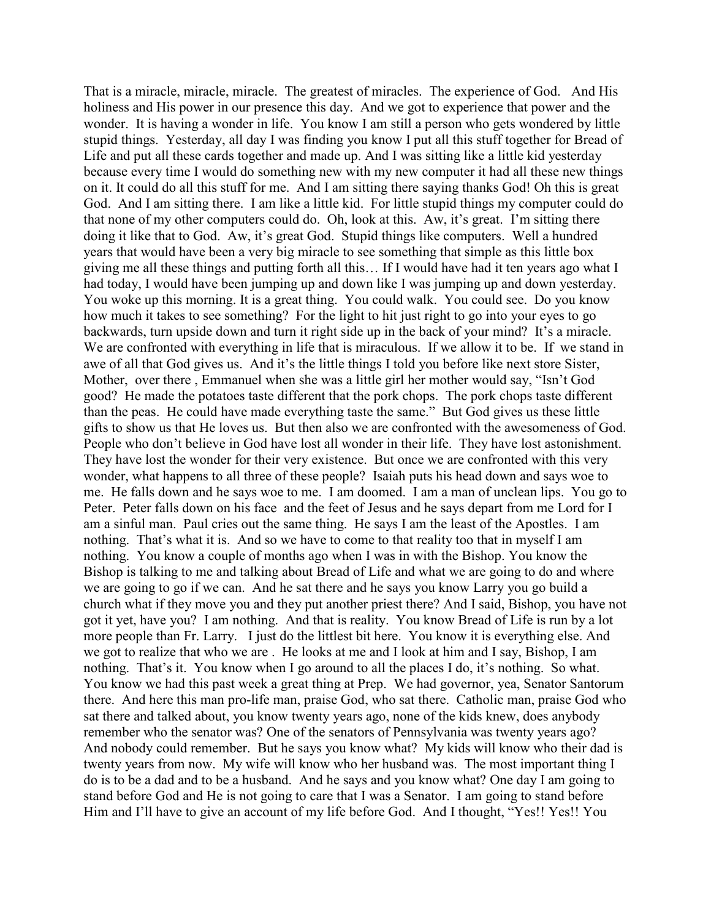That is a miracle, miracle, miracle. The greatest of miracles. The experience of God. And His holiness and His power in our presence this day. And we got to experience that power and the wonder. It is having a wonder in life. You know I am still a person who gets wondered by little stupid things. Yesterday, all day I was finding you know I put all this stuff together for Bread of Life and put all these cards together and made up. And I was sitting like a little kid yesterday because every time I would do something new with my new computer it had all these new things on it. It could do all this stuff for me. And I am sitting there saying thanks God! Oh this is great God. And I am sitting there. I am like a little kid. For little stupid things my computer could do that none of my other computers could do. Oh, look at this. Aw, it's great. I'm sitting there doing it like that to God. Aw, it's great God. Stupid things like computers. Well a hundred years that would have been a very big miracle to see something that simple as this little box giving me all these things and putting forth all this… If I would have had it ten years ago what I had today, I would have been jumping up and down like I was jumping up and down yesterday. You woke up this morning. It is a great thing. You could walk. You could see. Do you know how much it takes to see something? For the light to hit just right to go into your eyes to go backwards, turn upside down and turn it right side up in the back of your mind? It's a miracle. We are confronted with everything in life that is miraculous. If we allow it to be. If we stand in awe of all that God gives us. And it's the little things I told you before like next store Sister, Mother, over there , Emmanuel when she was a little girl her mother would say, "Isn't God good? He made the potatoes taste different that the pork chops. The pork chops taste different than the peas. He could have made everything taste the same." But God gives us these little gifts to show us that He loves us. But then also we are confronted with the awesomeness of God. People who don't believe in God have lost all wonder in their life. They have lost astonishment. They have lost the wonder for their very existence. But once we are confronted with this very wonder, what happens to all three of these people? Isaiah puts his head down and says woe to me. He falls down and he says woe to me. I am doomed. I am a man of unclean lips. You go to Peter. Peter falls down on his face and the feet of Jesus and he says depart from me Lord for I am a sinful man. Paul cries out the same thing. He says I am the least of the Apostles. I am nothing. That's what it is. And so we have to come to that reality too that in myself I am nothing. You know a couple of months ago when I was in with the Bishop. You know the Bishop is talking to me and talking about Bread of Life and what we are going to do and where we are going to go if we can. And he sat there and he says you know Larry you go build a church what if they move you and they put another priest there? And I said, Bishop, you have not got it yet, have you? I am nothing. And that is reality. You know Bread of Life is run by a lot more people than Fr. Larry. I just do the littlest bit here. You know it is everything else. And we got to realize that who we are . He looks at me and I look at him and I say, Bishop, I am nothing. That's it. You know when I go around to all the places I do, it's nothing. So what. You know we had this past week a great thing at Prep. We had governor, yea, Senator Santorum there. And here this man pro-life man, praise God, who sat there. Catholic man, praise God who sat there and talked about, you know twenty years ago, none of the kids knew, does anybody remember who the senator was? One of the senators of Pennsylvania was twenty years ago? And nobody could remember. But he says you know what? My kids will know who their dad is twenty years from now. My wife will know who her husband was. The most important thing I do is to be a dad and to be a husband. And he says and you know what? One day I am going to stand before God and He is not going to care that I was a Senator. I am going to stand before Him and I'll have to give an account of my life before God. And I thought, "Yes!! Yes!! You